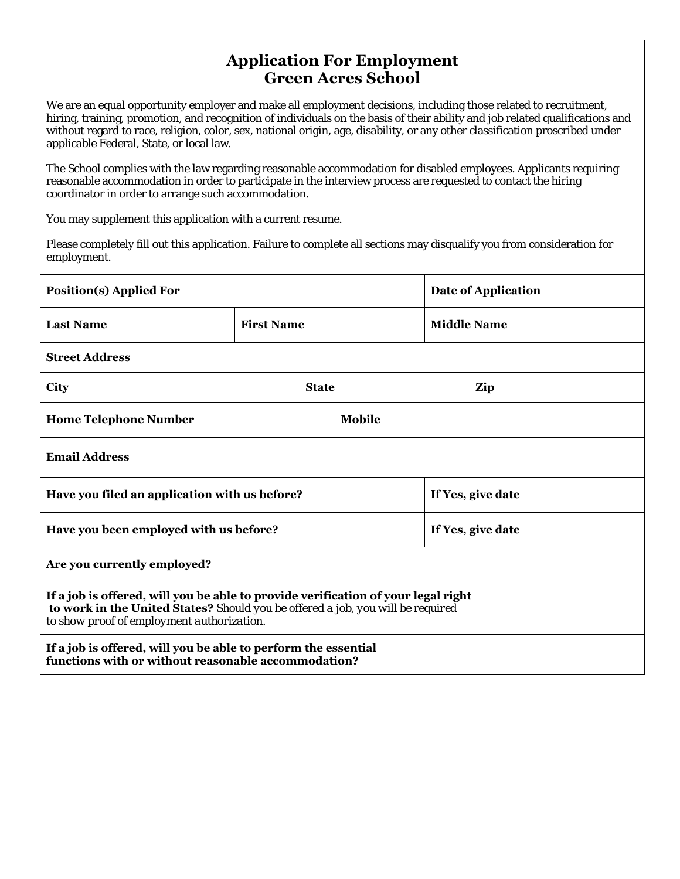### **Application For Employment Green Acres School**

We are an equal opportunity employer and make all employment decisions, including those related to recruitment, hiring, training, promotion, and recognition of individuals on the basis of their ability and job related qualifications and without regard to race, religion, color, sex, national origin, age, disability, or any other classification proscribed under applicable Federal, State, or local law.

The School complies with the law regarding reasonable accommodation for disabled employees. Applicants requiring reasonable accommodation in order to participate in the interview process are requested to contact the hiring coordinator in order to arrange such accommodation.

You may supplement this application with a current resume.

Please completely fill out this application. Failure to complete all sections may disqualify you from consideration for employment.

| <b>Position(s) Applied For</b>                                                                                                                                                                                     |                   |              | Date of Application |                   |     |  |
|--------------------------------------------------------------------------------------------------------------------------------------------------------------------------------------------------------------------|-------------------|--------------|---------------------|-------------------|-----|--|
| <b>Last Name</b>                                                                                                                                                                                                   | <b>First Name</b> |              | <b>Middle Name</b>  |                   |     |  |
| <b>Street Address</b>                                                                                                                                                                                              |                   |              |                     |                   |     |  |
| City                                                                                                                                                                                                               |                   | <b>State</b> |                     |                   | Zip |  |
| <b>Home Telephone Number</b>                                                                                                                                                                                       |                   |              | Mobile              |                   |     |  |
| <b>Email Address</b>                                                                                                                                                                                               |                   |              |                     |                   |     |  |
| Have you filed an application with us before?                                                                                                                                                                      |                   |              |                     | If Yes, give date |     |  |
| Have you been employed with us before?                                                                                                                                                                             |                   |              |                     | If Yes, give date |     |  |
| Are you currently employed?                                                                                                                                                                                        |                   |              |                     |                   |     |  |
| If a job is offered, will you be able to provide verification of your legal right<br>to work in the United States? Should you be offered a job, you will be required<br>to show proof of employment authorization. |                   |              |                     |                   |     |  |
| If a job is offered, will you be able to perform the essential<br>functions with or without reasonable accommodation?                                                                                              |                   |              |                     |                   |     |  |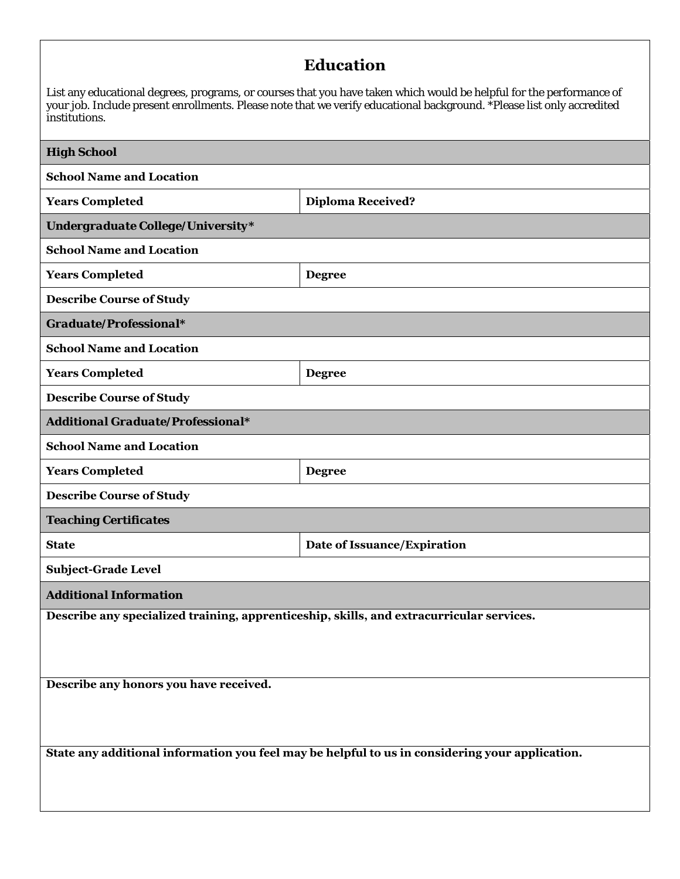# **Education**

List any educational degrees, programs, or courses that you have taken which would be helpful for the performance of your job. Include present enrollments. Please note that we verify educational background. \*Please list only accredited institutions.

| <b>High School</b>                                                                              |                             |  |  |  |  |
|-------------------------------------------------------------------------------------------------|-----------------------------|--|--|--|--|
| <b>School Name and Location</b>                                                                 |                             |  |  |  |  |
| <b>Years Completed</b>                                                                          | <b>Diploma Received?</b>    |  |  |  |  |
| Undergraduate College/University*                                                               |                             |  |  |  |  |
| <b>School Name and Location</b>                                                                 |                             |  |  |  |  |
| <b>Years Completed</b>                                                                          | <b>Degree</b>               |  |  |  |  |
| <b>Describe Course of Study</b>                                                                 |                             |  |  |  |  |
| Graduate/Professional*                                                                          |                             |  |  |  |  |
| <b>School Name and Location</b>                                                                 |                             |  |  |  |  |
| <b>Years Completed</b>                                                                          | <b>Degree</b>               |  |  |  |  |
| <b>Describe Course of Study</b>                                                                 |                             |  |  |  |  |
| <b>Additional Graduate/Professional*</b>                                                        |                             |  |  |  |  |
| <b>School Name and Location</b>                                                                 |                             |  |  |  |  |
| <b>Years Completed</b>                                                                          | <b>Degree</b>               |  |  |  |  |
| <b>Describe Course of Study</b>                                                                 |                             |  |  |  |  |
| <b>Teaching Certificates</b>                                                                    |                             |  |  |  |  |
| <b>State</b>                                                                                    | Date of Issuance/Expiration |  |  |  |  |
| <b>Subject-Grade Level</b>                                                                      |                             |  |  |  |  |
| <b>Additional Information</b>                                                                   |                             |  |  |  |  |
| Describe any specialized training, apprenticeship, skills, and extracurricular services.        |                             |  |  |  |  |
|                                                                                                 |                             |  |  |  |  |
|                                                                                                 |                             |  |  |  |  |
| Describe any honors you have received.                                                          |                             |  |  |  |  |
|                                                                                                 |                             |  |  |  |  |
| State any additional information you feel may be helpful to us in considering your application. |                             |  |  |  |  |
|                                                                                                 |                             |  |  |  |  |
|                                                                                                 |                             |  |  |  |  |
|                                                                                                 |                             |  |  |  |  |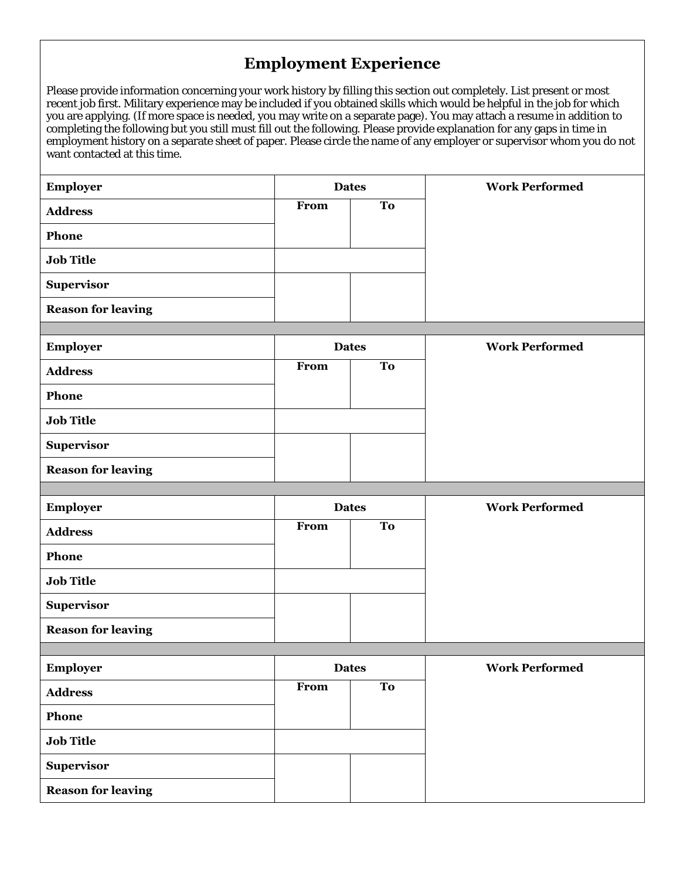# **Employment Experience**

Please provide information concerning your work history by filling this section out completely. List present or most recent job first. Military experience may be included if you obtained skills which would be helpful in the job for which you are applying. (If more space is needed, you may write on a separate page). You may attach a resume in addition to completing the following but you still must fill out the following. Please provide explanation for any gaps in time in employment history on a separate sheet of paper. Please circle the name of any employer or supervisor whom you do not want contacted at this time.

| Employer                  | <b>Dates</b> |           | <b>Work Performed</b> |
|---------------------------|--------------|-----------|-----------------------|
| <b>Address</b>            | From         | <b>To</b> |                       |
| Phone                     |              |           |                       |
| <b>Job Title</b>          |              |           |                       |
| Supervisor                |              |           |                       |
| <b>Reason for leaving</b> |              |           |                       |
|                           |              |           |                       |
| <b>Employer</b>           | <b>Dates</b> |           | <b>Work Performed</b> |
| <b>Address</b>            | From         | To        |                       |
| Phone                     |              |           |                       |
| <b>Job Title</b>          |              |           |                       |
| Supervisor                |              |           |                       |
| <b>Reason for leaving</b> |              |           |                       |
|                           |              |           |                       |
| <b>Employer</b>           | <b>Dates</b> |           | <b>Work Performed</b> |
| <b>Address</b>            | From         | <b>To</b> |                       |
| Phone                     |              |           |                       |
| <b>Job Title</b>          |              |           |                       |
| Supervisor                |              |           |                       |
| <b>Reason for leaving</b> |              |           |                       |
|                           |              |           |                       |
| Employer                  | <b>Dates</b> |           | <b>Work Performed</b> |
| <b>Address</b>            | From         | <b>To</b> |                       |
| Phone                     |              |           |                       |
| <b>Job Title</b>          |              |           |                       |
| <b>Supervisor</b>         |              |           |                       |
| <b>Reason for leaving</b> |              |           |                       |